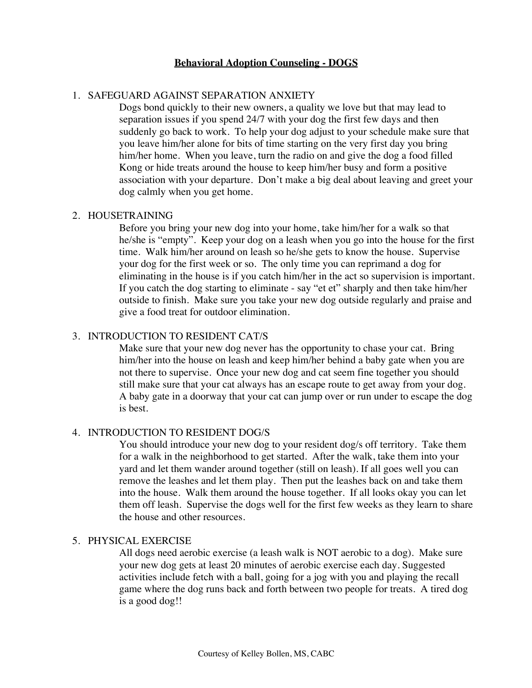# **Behavioral Adoption Counseling - DOGS**

# 1. SAFEGUARD AGAINST SEPARATION ANXIETY

Dogs bond quickly to their new owners, a quality we love but that may lead to separation issues if you spend 24/7 with your dog the first few days and then suddenly go back to work. To help your dog adjust to your schedule make sure that you leave him/her alone for bits of time starting on the very first day you bring him/her home. When you leave, turn the radio on and give the dog a food filled Kong or hide treats around the house to keep him/her busy and form a positive association with your departure. Don't make a big deal about leaving and greet your dog calmly when you get home.

#### 2. HOUSETRAINING

Before you bring your new dog into your home, take him/her for a walk so that he/she is "empty". Keep your dog on a leash when you go into the house for the first time. Walk him/her around on leash so he/she gets to know the house. Supervise your dog for the first week or so. The only time you can reprimand a dog for eliminating in the house is if you catch him/her in the act so supervision is important. If you catch the dog starting to eliminate - say "et et" sharply and then take him/her outside to finish. Make sure you take your new dog outside regularly and praise and give a food treat for outdoor elimination.

## 3. INTRODUCTION TO RESIDENT CAT/S

Make sure that your new dog never has the opportunity to chase your cat. Bring him/her into the house on leash and keep him/her behind a baby gate when you are not there to supervise. Once your new dog and cat seem fine together you should still make sure that your cat always has an escape route to get away from your dog. A baby gate in a doorway that your cat can jump over or run under to escape the dog is best.

#### 4. INTRODUCTION TO RESIDENT DOG/S

You should introduce your new dog to your resident dog/s off territory. Take them for a walk in the neighborhood to get started. After the walk, take them into your yard and let them wander around together (still on leash). If all goes well you can remove the leashes and let them play. Then put the leashes back on and take them into the house. Walk them around the house together. If all looks okay you can let them off leash. Supervise the dogs well for the first few weeks as they learn to share the house and other resources.

## 5. PHYSICAL EXERCISE

All dogs need aerobic exercise (a leash walk is NOT aerobic to a dog). Make sure your new dog gets at least 20 minutes of aerobic exercise each day. Suggested activities include fetch with a ball, going for a jog with you and playing the recall game where the dog runs back and forth between two people for treats. A tired dog is a good dog!!